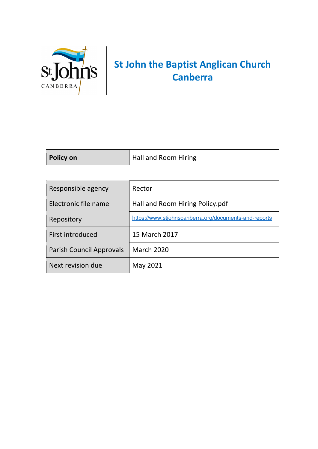

## **St John the Baptist Anglican Church Canberra**

| Policy on | Hall and Room Hiring |
|-----------|----------------------|
|           |                      |

| Responsible agency       | Rector                                                |
|--------------------------|-------------------------------------------------------|
| Electronic file name     | Hall and Room Hiring Policy.pdf                       |
| Repository               | https://www.stjohnscanberra.org/documents-and-reports |
| First introduced         | 15 March 2017                                         |
| Parish Council Approvals | <b>March 2020</b>                                     |
| Next revision due        | May 2021                                              |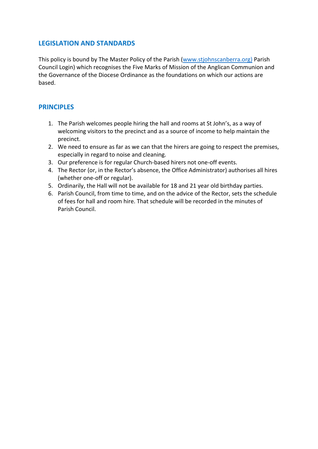## **LEGISLATION AND STANDARDS**

This policy is bound by The Master Policy of the Parish (www.stjohnscanberra.org) Parish Council Login) which recognises the Five Marks of Mission of the Anglican Communion and the Governance of the Diocese Ordinance as the foundations on which our actions are based.

## **PRINCIPLES**

- 1. The Parish welcomes people hiring the hall and rooms at St John's, as a way of welcoming visitors to the precinct and as a source of income to help maintain the precinct.
- 2. We need to ensure as far as we can that the hirers are going to respect the premises, especially in regard to noise and cleaning.
- 3. Our preference is for regular Church-based hirers not one-off events.
- 4. The Rector (or, in the Rector's absence, the Office Administrator) authorises all hires (whether one-off or regular).
- 5. Ordinarily, the Hall will not be available for 18 and 21 year old birthday parties.
- 6. Parish Council, from time to time, and on the advice of the Rector, sets the schedule of fees for hall and room hire. That schedule will be recorded in the minutes of Parish Council.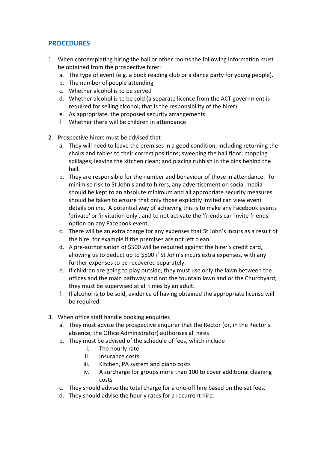## **PROCEDURES**

- 1. When contemplating hiring the hall or other rooms the following information must be obtained from the prospective hirer:
	- a. The type of event (e.g. a book reading club or a dance party for young people).
	- b. The number of people attending
	- c. Whether alcohol is to be served
	- d. Whether alcohol is to be sold (a separate licence from the ACT government is required for selling alcohol; that is the responsibility of the hirer)
	- e. As appropriate, the proposed security arrangements
	- f. Whether there will be children in attendance
- 2. Prospective hirers must be advised that
	- a. They will need to leave the premises in a good condition, including returning the chairs and tables to their correct positions; sweeping the hall floor; mopping spillages; leaving the kitchen clean; and placing rubbish in the bins behind the hall.
	- b. They are responsible for the number and behaviour of those in attendance. To minimise risk to St John's and to hirers, any advertisement on social media should be kept to an absolute minimum and all appropriate security measures should be taken to ensure that only those explicitly invited can view event details online. A potential way of achieving this is to make any Facebook events 'private' or 'invitation only', and to not activate the 'friends can invite friends' option on any Facebook event.
	- c. There will be an extra charge for any expenses that St John's incurs as a result of the hire, for example if the premises are not left clean
	- d. A pre-authorisation of \$500 will be required against the hirer's credit card, allowing us to deduct up to \$500 if St John's incurs extra expenses, with any further expenses to be recovered separately.
	- e. If children are going to play outside, they must use only the lawn between the offices and the main pathway and not the fountain lawn and or the Churchyard; they must be supervised at all times by an adult.
	- f. If alcohol is to be sold, evidence of having obtained the appropriate license will be required.
- 3. When office staff handle booking enquiries
	- a. They must advise the prospective enquirer that the Rector (or, in the Rector's absence, the Office Administrator) authorises all hires
	- b. They must be advised of the schedule of fees, which include
		- i. The hourly rate
		- ii. Insurance costs
		- iii. Kitchen, PA system and piano costs
		- iv. A surcharge for groups more than 100 to cover additional cleaning costs
	- c. They should advise the total charge for a one-off hire based on the set fees.
	- d. They should advise the hourly rates for a recurrent hire.